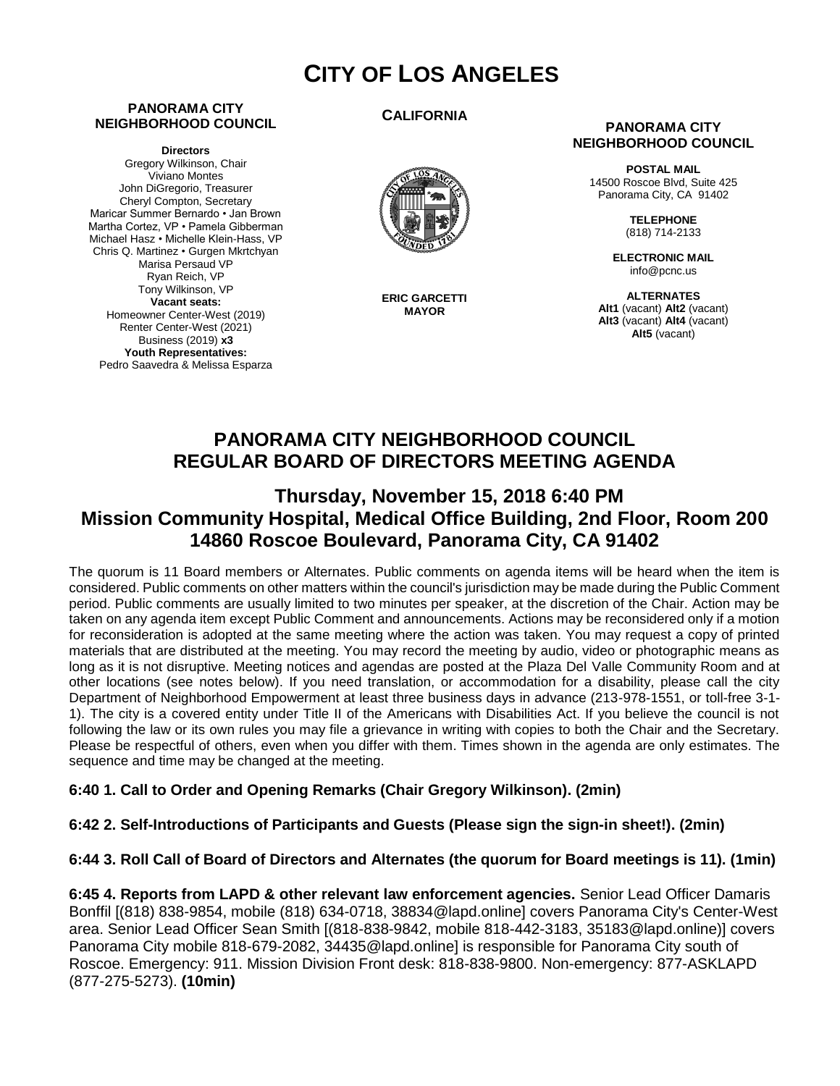# **CITY OF LOS ANGELES**

#### **PANORAMA CITY NEIGHBORHOOD COUNCIL**

**Directors** Gregory Wilkinson, Chair Viviano Montes John DiGregorio, Treasurer Cheryl Compton, Secretary Maricar Summer Bernardo • Jan Brown Martha Cortez, VP • Pamela Gibberman Michael Hasz • Michelle Klein-Hass, VP Chris Q. Martinez • Gurgen Mkrtchyan Marisa Persaud VP Ryan Reich, VP Tony Wilkinson, VP **Vacant seats:**  Homeowner Center-West (2019) Renter Center-West (2021) Business (2019) **x3 Youth Representatives:**  Pedro Saavedra & Melissa Esparza

#### **CALIFORNIA**



**ERIC GARCETTI MAYOR**

#### **PANORAMA CITY NEIGHBORHOOD COUNCIL**

**POSTAL MAIL** 14500 Roscoe Blvd, Suite 425 Panorama City, CA 91402

> **TELEPHONE** (818) 714-2133

**ELECTRONIC MAIL** info@pcnc.us

**ALTERNATES Alt1** (vacant) **Alt2** (vacant) **Alt3** (vacant) **Alt4** (vacant) **Alt5** (vacant)

# **PANORAMA CITY NEIGHBORHOOD COUNCIL REGULAR BOARD OF DIRECTORS MEETING AGENDA**

# **Thursday, November 15, 2018 6:40 PM Mission Community Hospital, Medical Office Building, 2nd Floor, Room 200 14860 Roscoe Boulevard, Panorama City, CA 91402**

The quorum is 11 Board members or Alternates. Public comments on agenda items will be heard when the item is considered. Public comments on other matters within the council's jurisdiction may be made during the Public Comment period. Public comments are usually limited to two minutes per speaker, at the discretion of the Chair. Action may be taken on any agenda item except Public Comment and announcements. Actions may be reconsidered only if a motion for reconsideration is adopted at the same meeting where the action was taken. You may request a copy of printed materials that are distributed at the meeting. You may record the meeting by audio, video or photographic means as long as it is not disruptive. Meeting notices and agendas are posted at the Plaza Del Valle Community Room and at other locations (see notes below). If you need translation, or accommodation for a disability, please call the city Department of Neighborhood Empowerment at least three business days in advance (213-978-1551, or toll-free 3-1- 1). The city is a covered entity under Title II of the Americans with Disabilities Act. If you believe the council is not following the law or its own rules you may file a grievance in writing with copies to both the Chair and the Secretary. Please be respectful of others, even when you differ with them. Times shown in the agenda are only estimates. The sequence and time may be changed at the meeting.

#### **6:40 1. Call to Order and Opening Remarks (Chair Gregory Wilkinson). (2min)**

#### **6:42 2. Self-Introductions of Participants and Guests (Please sign the sign-in sheet!). (2min)**

#### **6:44 3. Roll Call of Board of Directors and Alternates (the quorum for Board meetings is 11). (1min)**

**6:45 4. Reports from LAPD & other relevant law enforcement agencies.** Senior Lead Officer Damaris Bonffil [(818) 838-9854, mobile (818) 634-0718, 38834@lapd.online] covers Panorama City's Center-West area. Senior Lead Officer Sean Smith [(818-838-9842, mobile 818-442-3183, 35183@lapd.online)] covers Panorama City mobile 818-679-2082, 34435@lapd.online] is responsible for Panorama City south of Roscoe. Emergency: 911. Mission Division Front desk: 818-838-9800. Non-emergency: 877-ASKLAPD (877-275-5273). **(10min)**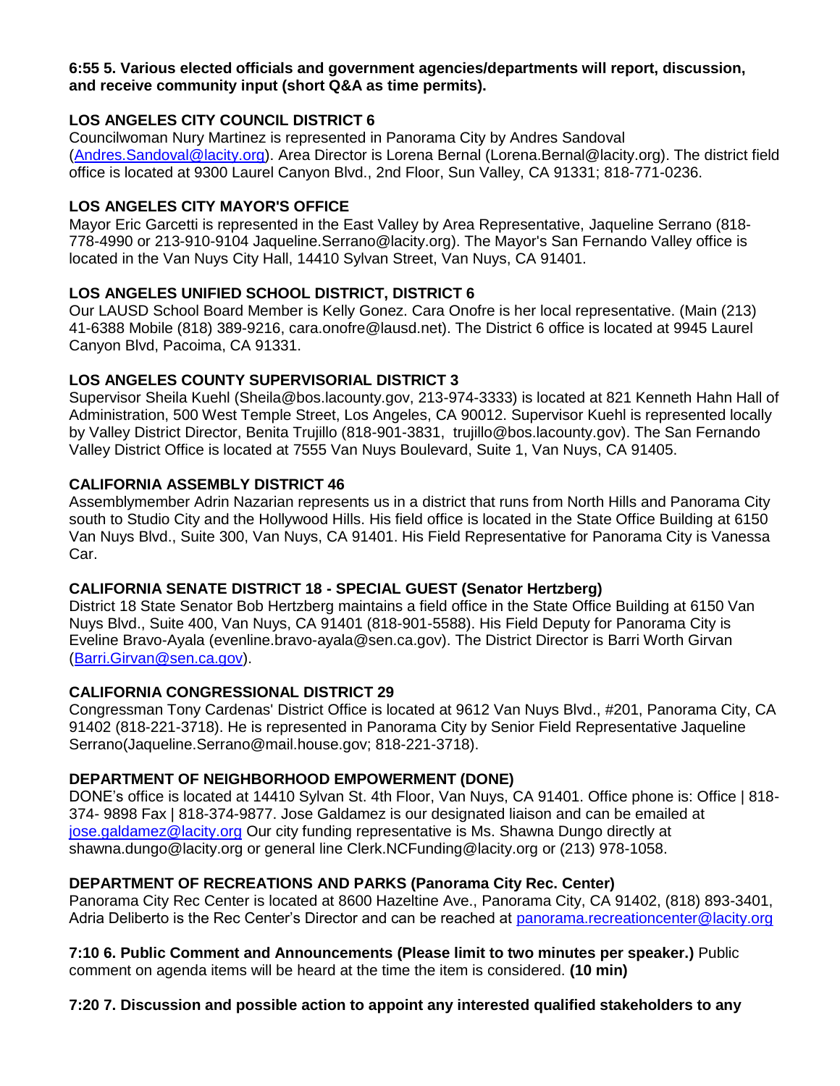#### **6:55 5. Various elected officials and government agencies/departments will report, discussion, and receive community input (short Q&A as time permits).**

#### **LOS ANGELES CITY COUNCIL DISTRICT 6**

Councilwoman Nury Martinez is represented in Panorama City by Andres Sandoval [\(Andres.Sandoval@lacity.org\)](mailto:Andres.Sandoval@lacity.org). Area Director is Lorena Bernal (Lorena.Bernal@lacity.org). The district field office is located at 9300 Laurel Canyon Blvd., 2nd Floor, Sun Valley, CA 91331; 818-771-0236.

#### **LOS ANGELES CITY MAYOR'S OFFICE**

Mayor Eric Garcetti is represented in the East Valley by Area Representative, Jaqueline Serrano (818- 778-4990 or 213-910-9104 Jaqueline.Serrano@lacity.org). The Mayor's San Fernando Valley office is located in the Van Nuys City Hall, 14410 Sylvan Street, Van Nuys, CA 91401.

#### **LOS ANGELES UNIFIED SCHOOL DISTRICT, DISTRICT 6**

Our LAUSD School Board Member is Kelly Gonez. Cara Onofre is her local representative. (Main (213) 41-6388 Mobile (818) 389-9216, cara.onofre@lausd.net). The District 6 office is located at 9945 Laurel Canyon Blvd, Pacoima, CA 91331.

#### **LOS ANGELES COUNTY SUPERVISORIAL DISTRICT 3**

Supervisor Sheila Kuehl (Sheila@bos.lacounty.gov, 213-974-3333) is located at 821 Kenneth Hahn Hall of Administration, 500 West Temple Street, Los Angeles, CA 90012. Supervisor Kuehl is represented locally by Valley District Director, Benita Trujillo (818-901-3831, trujillo@bos.lacounty.gov). The San Fernando Valley District Office is located at 7555 Van Nuys Boulevard, Suite 1, Van Nuys, CA 91405.

#### **CALIFORNIA ASSEMBLY DISTRICT 46**

Assemblymember Adrin Nazarian represents us in a district that runs from North Hills and Panorama City south to Studio City and the Hollywood Hills. His field office is located in the State Office Building at 6150 Van Nuys Blvd., Suite 300, Van Nuys, CA 91401. His Field Representative for Panorama City is Vanessa Car.

### **CALIFORNIA SENATE DISTRICT 18 - SPECIAL GUEST (Senator Hertzberg)**

District 18 State Senator Bob Hertzberg maintains a field office in the State Office Building at 6150 Van Nuys Blvd., Suite 400, Van Nuys, CA 91401 (818-901-5588). His Field Deputy for Panorama City is Eveline Bravo-Ayala (evenline.bravo-ayala@sen.ca.gov). The District Director is Barri Worth Girvan [\(Barri.Girvan@sen.ca.gov\)](mailto:Barri.Girvan@sen.ca.gov).

#### **CALIFORNIA CONGRESSIONAL DISTRICT 29**

Congressman Tony Cardenas' District Office is located at 9612 Van Nuys Blvd., #201, Panorama City, CA 91402 (818-221-3718). He is represented in Panorama City by Senior Field Representative Jaqueline Serrano(Jaqueline.Serrano@mail.house.gov; 818-221-3718).

### **DEPARTMENT OF NEIGHBORHOOD EMPOWERMENT (DONE)**

DONE's office is located at 14410 Sylvan St. 4th Floor, Van Nuys, CA 91401. Office phone is: Office | 818- 374- 9898 Fax | 818-374-9877. Jose Galdamez is our designated liaison and can be emailed at [jose.galdamez@lacity.org](mailto:jose.galdamez@lacity.org) Our city funding representative is Ms. Shawna Dungo directly at shawna.dungo@lacity.org or general line Clerk.NCFunding@lacity.org or (213) 978-1058.

### **DEPARTMENT OF RECREATIONS AND PARKS (Panorama City Rec. Center)**

Panorama City Rec Center is located at 8600 Hazeltine Ave., Panorama City, CA 91402, (818) 893-3401, Adria Deliberto is the Rec Center's Director and can be reached at [panorama.recreationcenter@lacity.org](mailto:panorama.recreationcenter@lacity.org)

**7:10 6. Public Comment and Announcements (Please limit to two minutes per speaker.)** Public comment on agenda items will be heard at the time the item is considered. **(10 min)**

### **7:20 7. Discussion and possible action to appoint any interested qualified stakeholders to any**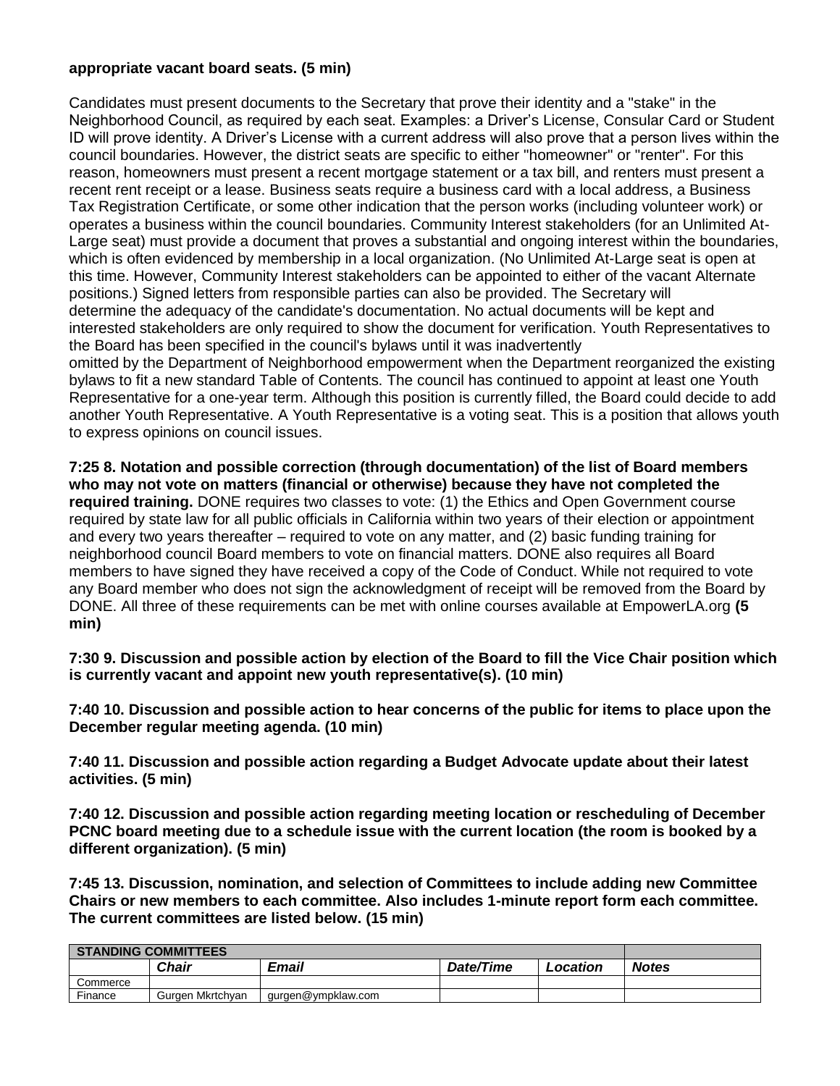#### **appropriate vacant board seats. (5 min)**

Candidates must present documents to the Secretary that prove their identity and a "stake" in the Neighborhood Council, as required by each seat. Examples: a Driver's License, Consular Card or Student ID will prove identity. A Driver's License with a current address will also prove that a person lives within the council boundaries. However, the district seats are specific to either "homeowner" or "renter". For this reason, homeowners must present a recent mortgage statement or a tax bill, and renters must present a recent rent receipt or a lease. Business seats require a business card with a local address, a Business Tax Registration Certificate, or some other indication that the person works (including volunteer work) or operates a business within the council boundaries. Community Interest stakeholders (for an Unlimited At-Large seat) must provide a document that proves a substantial and ongoing interest within the boundaries, which is often evidenced by membership in a local organization. (No Unlimited At-Large seat is open at this time. However, Community Interest stakeholders can be appointed to either of the vacant Alternate positions.) Signed letters from responsible parties can also be provided. The Secretary will determine the adequacy of the candidate's documentation. No actual documents will be kept and interested stakeholders are only required to show the document for verification. Youth Representatives to the Board has been specified in the council's bylaws until it was inadvertently omitted by the Department of Neighborhood empowerment when the Department reorganized the existing bylaws to fit a new standard Table of Contents. The council has continued to appoint at least one Youth Representative for a one-year term. Although this position is currently filled, the Board could decide to add another Youth Representative. A Youth Representative is a voting seat. This is a position that allows youth to express opinions on council issues.

**7:25 8. Notation and possible correction (through documentation) of the list of Board members who may not vote on matters (financial or otherwise) because they have not completed the required training.** DONE requires two classes to vote: (1) the Ethics and Open Government course required by state law for all public officials in California within two years of their election or appointment and every two years thereafter – required to vote on any matter, and (2) basic funding training for neighborhood council Board members to vote on financial matters. DONE also requires all Board members to have signed they have received a copy of the Code of Conduct. While not required to vote any Board member who does not sign the acknowledgment of receipt will be removed from the Board by DONE. All three of these requirements can be met with online courses available at EmpowerLA.org **(5 min)**

**7:30 9. Discussion and possible action by election of the Board to fill the Vice Chair position which is currently vacant and appoint new youth representative(s). (10 min)**

**7:40 10. Discussion and possible action to hear concerns of the public for items to place upon the December regular meeting agenda. (10 min)**

**7:40 11. Discussion and possible action regarding a Budget Advocate update about their latest activities. (5 min)**

**7:40 12. Discussion and possible action regarding meeting location or rescheduling of December PCNC board meeting due to a schedule issue with the current location (the room is booked by a different organization). (5 min)**

**7:45 13. Discussion, nomination, and selection of Committees to include adding new Committee Chairs or new members to each committee. Also includes 1-minute report form each committee. The current committees are listed below. (15 min)**

| <b>STANDING COMMITTEES</b> |                  |                    |           |          |              |
|----------------------------|------------------|--------------------|-----------|----------|--------------|
|                            | Chair            | Email              | Date/Time | Location | <b>Notes</b> |
| Commerce                   |                  |                    |           |          |              |
| Finance                    | Gurgen Mkrtchyan | qurgen@ympklaw.com |           |          |              |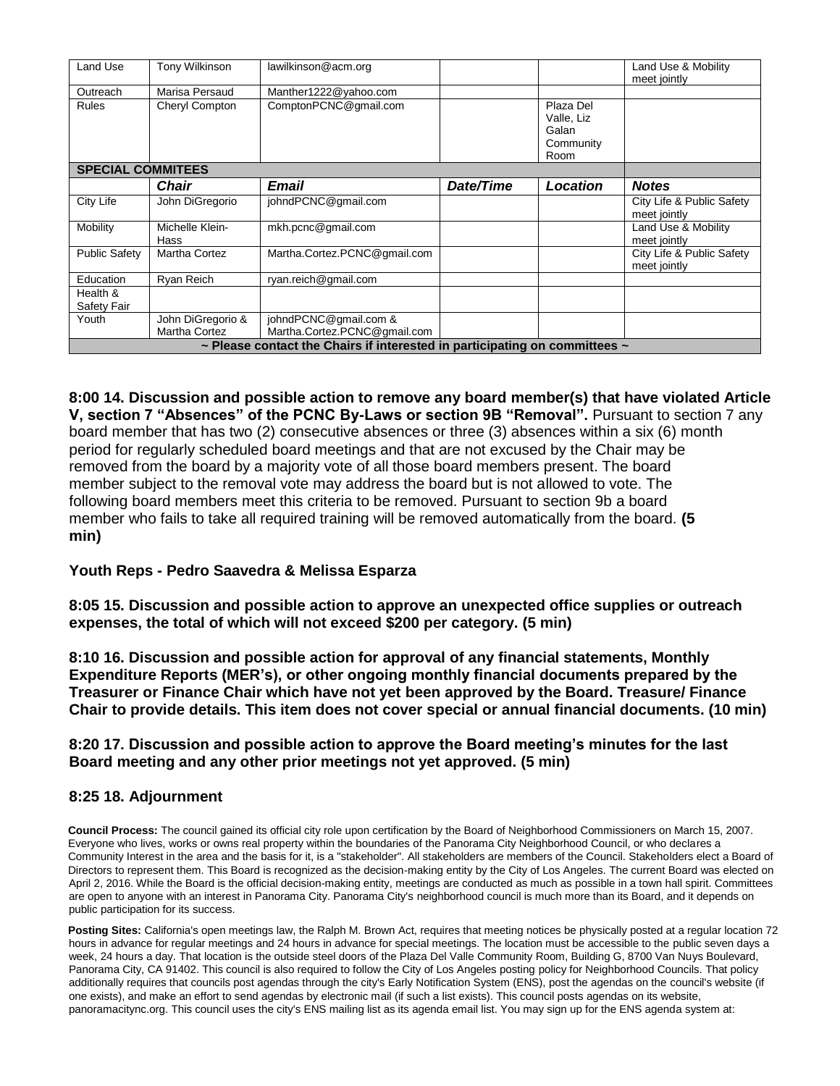| Land Use                 | Tony Wilkinson                                                                       | lawilkinson@acm.org                                   |           |                                                       | Land Use & Mobility<br>meet jointly       |  |  |  |  |
|--------------------------|--------------------------------------------------------------------------------------|-------------------------------------------------------|-----------|-------------------------------------------------------|-------------------------------------------|--|--|--|--|
| Outreach                 | Marisa Persaud                                                                       | Manther1222@yahoo.com                                 |           |                                                       |                                           |  |  |  |  |
| Rules                    | Cheryl Compton                                                                       | ComptonPCNC@gmail.com                                 |           | Plaza Del<br>Valle, Liz<br>Galan<br>Community<br>Room |                                           |  |  |  |  |
| <b>SPECIAL COMMITEES</b> |                                                                                      |                                                       |           |                                                       |                                           |  |  |  |  |
|                          | <b>Chair</b>                                                                         | Email                                                 | Date/Time | Location                                              | <b>Notes</b>                              |  |  |  |  |
| City Life                | John DiGregorio                                                                      | johndPCNC@gmail.com                                   |           |                                                       | City Life & Public Safety<br>meet jointly |  |  |  |  |
| Mobility                 | Michelle Klein-<br>Hass                                                              | mkh.pcnc@gmail.com                                    |           |                                                       | Land Use & Mobility<br>meet jointly       |  |  |  |  |
| <b>Public Safety</b>     | Martha Cortez                                                                        | Martha.Cortez.PCNC@gmail.com                          |           |                                                       | City Life & Public Safety<br>meet jointly |  |  |  |  |
| Education                | Ryan Reich                                                                           | ryan.reich@gmail.com                                  |           |                                                       |                                           |  |  |  |  |
| Health &<br>Safety Fair  |                                                                                      |                                                       |           |                                                       |                                           |  |  |  |  |
| Youth                    | John DiGregorio &<br>Martha Cortez                                                   | johndPCNC@gmail.com &<br>Martha.Cortez.PCNC@gmail.com |           |                                                       |                                           |  |  |  |  |
|                          | $\sim$ Please contact the Chairs if interested in participating on committees $\sim$ |                                                       |           |                                                       |                                           |  |  |  |  |

**8:00 14. Discussion and possible action to remove any board member(s) that have violated Article V, section 7 "Absences" of the PCNC By-Laws or section 9B "Removal".** Pursuant to section 7 any board member that has two (2) consecutive absences or three (3) absences within a six (6) month period for regularly scheduled board meetings and that are not excused by the Chair may be removed from the board by a majority vote of all those board members present. The board member subject to the removal vote may address the board but is not allowed to vote. The following board members meet this criteria to be removed. Pursuant to section 9b a board member who fails to take all required training will be removed automatically from the board. **(5 min)**

#### **Youth Reps - Pedro Saavedra & Melissa Esparza**

**8:05 15. Discussion and possible action to approve an unexpected office supplies or outreach expenses, the total of which will not exceed \$200 per category. (5 min)**

**8:10 16. Discussion and possible action for approval of any financial statements, Monthly Expenditure Reports (MER's), or other ongoing monthly financial documents prepared by the Treasurer or Finance Chair which have not yet been approved by the Board. Treasure/ Finance Chair to provide details. This item does not cover special or annual financial documents. (10 min)**

**8:20 17. Discussion and possible action to approve the Board meeting's minutes for the last Board meeting and any other prior meetings not yet approved. (5 min)**

#### **8:25 18. Adjournment**

**Council Process:** The council gained its official city role upon certification by the Board of Neighborhood Commissioners on March 15, 2007. Everyone who lives, works or owns real property within the boundaries of the Panorama City Neighborhood Council, or who declares a Community Interest in the area and the basis for it, is a "stakeholder". All stakeholders are members of the Council. Stakeholders elect a Board of Directors to represent them. This Board is recognized as the decision-making entity by the City of Los Angeles. The current Board was elected on April 2, 2016. While the Board is the official decision-making entity, meetings are conducted as much as possible in a town hall spirit. Committees are open to anyone with an interest in Panorama City. Panorama City's neighborhood council is much more than its Board, and it depends on public participation for its success.

**Posting Sites:** California's open meetings law, the Ralph M. Brown Act, requires that meeting notices be physically posted at a regular location 72 hours in advance for regular meetings and 24 hours in advance for special meetings. The location must be accessible to the public seven days a week, 24 hours a day. That location is the outside steel doors of the Plaza Del Valle Community Room, Building G, 8700 Van Nuys Boulevard, Panorama City, CA 91402. This council is also required to follow the City of Los Angeles posting policy for Neighborhood Councils. That policy additionally requires that councils post agendas through the city's Early Notification System (ENS), post the agendas on the council's website (if one exists), and make an effort to send agendas by electronic mail (if such a list exists). This council posts agendas on its website, panoramacitync.org. This council uses the city's ENS mailing list as its agenda email list. You may sign up for the ENS agenda system at: